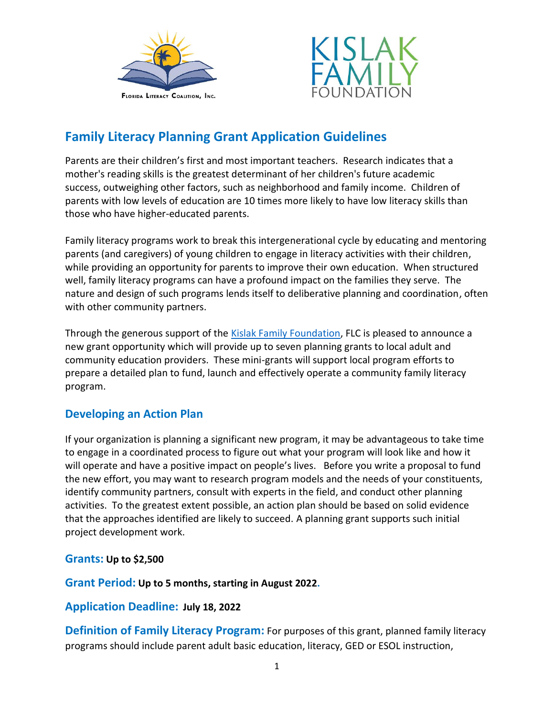



# **Family Literacy Planning Grant Application Guidelines**

Parents are their children's first and most important teachers. Research indicates that a mother's reading skills is the greatest determinant of her children's future academic success, outweighing other factors, such as neighborhood and family income. Children of parents with low levels of education are 10 times more likely to have low literacy skills than those who have higher-educated parents.

Family literacy programs work to break this intergenerational cycle by educating and mentoring parents (and caregivers) of young children to engage in literacy activities with their children, while providing an opportunity for parents to improve their own education. When structured well, family literacy programs can have a profound impact on the families they serve. The nature and design of such programs lends itself to deliberative planning and coordination, often with other community partners.

Through the generous support of the [Kislak Family Foundation,](about:blank) FLC is pleased to announce a new grant opportunity which will provide up to seven planning grants to local adult and community education providers. These mini-grants will support local program efforts to prepare a detailed plan to fund, launch and effectively operate a community family literacy program.

## **Developing an Action Plan**

If your organization is planning a significant new program, it may be advantageous to take time to engage in a coordinated process to figure out what your program will look like and how it will operate and have a positive impact on people's lives. Before you write a proposal to fund the new effort, you may want to research program models and the needs of your constituents, identify community partners, consult with experts in the field, and conduct other planning activities. To the greatest extent possible, an action plan should be based on solid evidence that the approaches identified are likely to succeed. A planning grant supports such initial project development work.

#### **Grants: Up to \$2,500**

**Grant Period: Up to 5 months, starting in August 2022.** 

#### **Application Deadline: July 18, 2022**

**Definition of Family Literacy Program:** For purposes of this grant, planned family literacy programs should include parent adult basic education, literacy, GED or ESOL instruction,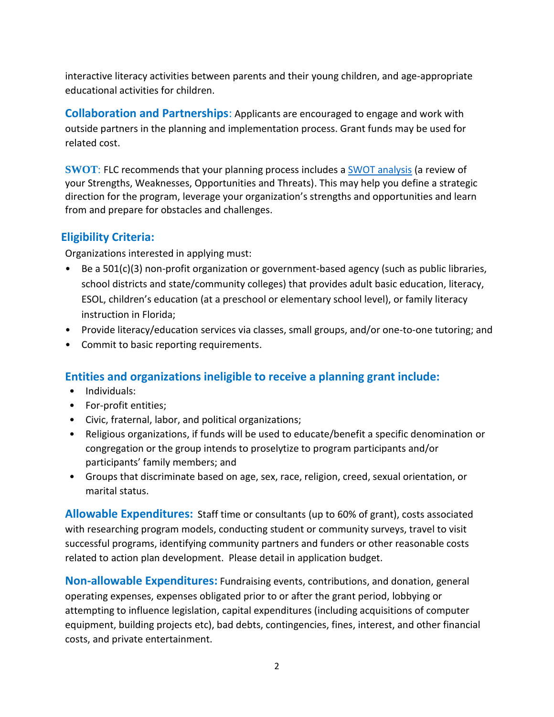interactive literacy activities between parents and their young children, and age-appropriate educational activities for children.

**Collaboration and Partnerships**: Applicants are encouraged to engage and work with outside partners in the planning and implementation process. Grant funds may be used for related cost.

**SWOT**: FLC recommends that your planning process includes [a SWOT analysis](about:blank) (a review of your Strengths, Weaknesses, Opportunities and Threats). This may help you define a strategic direction for the program, leverage your organization's strengths and opportunities and learn from and prepare for obstacles and challenges.

### **Eligibility Criteria:**

Organizations interested in applying must:

- Be a 501(c)(3) non-profit organization or government-based agency (such as public libraries, school districts and state/community colleges) that provides adult basic education, literacy, ESOL, children's education (at a preschool or elementary school level), or family literacy instruction in Florida;
- Provide literacy/education services via classes, small groups, and/or one-to-one tutoring; and
- Commit to basic reporting requirements.

## **Entities and organizations ineligible to receive a planning grant include:**

- Individuals:
- For-profit entities;
- Civic, fraternal, labor, and political organizations;
- Religious organizations, if funds will be used to educate/benefit a specific denomination or congregation or the group intends to proselytize to program participants and/or participants' family members; and
- Groups that discriminate based on age, sex, race, religion, creed, sexual orientation, or marital status.

**Allowable Expenditures:** Staff time or consultants (up to 60% of grant), costs associated with researching program models, conducting student or community surveys, travel to visit successful programs, identifying community partners and funders or other reasonable costs related to action plan development. Please detail in application budget.

**Non-allowable Expenditures:** Fundraising events, contributions, and donation, general operating expenses, expenses obligated prior to or after the grant period, lobbying or attempting to influence legislation, capital expenditures (including acquisitions of computer equipment, building projects etc), bad debts, contingencies, fines, interest, and other financial costs, and private entertainment.